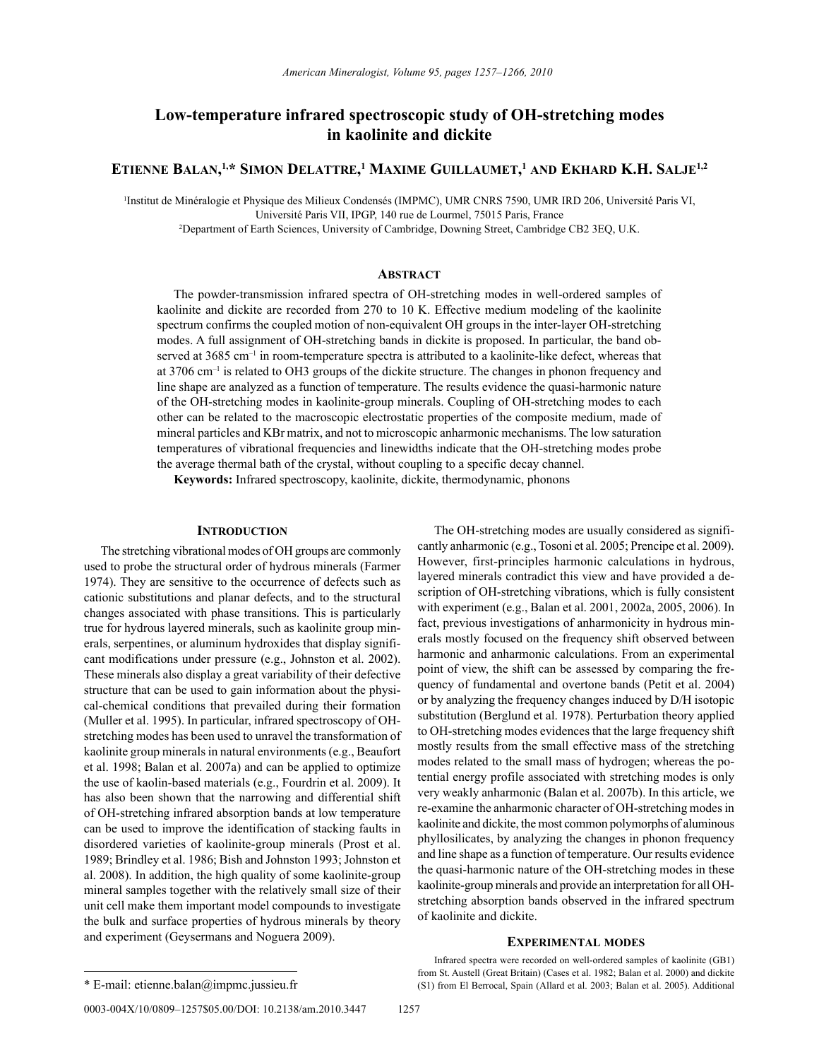# **Low-temperature infrared spectroscopic study of OH-stretching modes in kaolinite and dickite**

**EtiEnnE Balan, 1,\* Simon DElattrE, <sup>1</sup> maximE GuillaumEt, <sup>1</sup> anD EkharD k.h. SaljE1,2**

1 Institut de Minéralogie et Physique des Milieux Condensés (IMPMC), UMR CNRS 7590, UMR IRD 206, Université Paris VI, Université Paris VII, IPGP, 140 rue de Lourmel, 75015 Paris, France

2 Department of Earth Sciences, University of Cambridge, Downing Street, Cambridge CB2 3EQ, U.K.

## **aBStract**

The powder-transmission infrared spectra of OH-stretching modes in well-ordered samples of kaolinite and dickite are recorded from 270 to 10 K. Effective medium modeling of the kaolinite spectrum confirms the coupled motion of non-equivalent OH groups in the inter-layer OH-stretching modes. A full assignment of OH-stretching bands in dickite is proposed. In particular, the band observed at 3685 cm<sup>-1</sup> in room-temperature spectra is attributed to a kaolinite-like defect, whereas that at 3706 cm–1 is related to OH3 groups of the dickite structure. The changes in phonon frequency and line shape are analyzed as a function of temperature. The results evidence the quasi-harmonic nature of the OH-stretching modes in kaolinite-group minerals. Coupling of OH-stretching modes to each other can be related to the macroscopic electrostatic properties of the composite medium, made of mineral particles and KBr matrix, and not to microscopic anharmonic mechanisms. The low saturation temperatures of vibrational frequencies and linewidths indicate that the OH-stretching modes probe the average thermal bath of the crystal, without coupling to a specific decay channel.

**Keywords:** Infrared spectroscopy, kaolinite, dickite, thermodynamic, phonons

### **INTRODUCTION**

The stretching vibrational modes of OH groups are commonly used to probe the structural order of hydrous minerals (Farmer 1974). They are sensitive to the occurrence of defects such as cationic substitutions and planar defects, and to the structural changes associated with phase transitions. This is particularly true for hydrous layered minerals, such as kaolinite group minerals, serpentines, or aluminum hydroxides that display significant modifications under pressure (e.g., Johnston et al. 2002). These minerals also display a great variability of their defective structure that can be used to gain information about the physical-chemical conditions that prevailed during their formation (Muller et al. 1995). In particular, infrared spectroscopy of OHstretching modes has been used to unravel the transformation of kaolinite group minerals in natural environments (e.g., Beaufort et al. 1998; Balan et al. 2007a) and can be applied to optimize the use of kaolin-based materials (e.g., Fourdrin et al. 2009). It has also been shown that the narrowing and differential shift of OH-stretching infrared absorption bands at low temperature can be used to improve the identification of stacking faults in disordered varieties of kaolinite-group minerals (Prost et al. 1989; Brindley et al. 1986; Bish and Johnston 1993; Johnston et al. 2008). In addition, the high quality of some kaolinite-group mineral samples together with the relatively small size of their unit cell make them important model compounds to investigate the bulk and surface properties of hydrous minerals by theory and experiment (Geysermans and Noguera 2009).

The OH-stretching modes are usually considered as significantly anharmonic (e.g., Tosoni et al. 2005; Prencipe et al. 2009). However, first-principles harmonic calculations in hydrous, layered minerals contradict this view and have provided a description of OH-stretching vibrations, which is fully consistent with experiment (e.g., Balan et al. 2001, 2002a, 2005, 2006). In fact, previous investigations of anharmonicity in hydrous minerals mostly focused on the frequency shift observed between harmonic and anharmonic calculations. From an experimental point of view, the shift can be assessed by comparing the frequency of fundamental and overtone bands (Petit et al. 2004) or by analyzing the frequency changes induced by D/H isotopic substitution (Berglund et al. 1978). Perturbation theory applied to OH-stretching modes evidences that the large frequency shift mostly results from the small effective mass of the stretching modes related to the small mass of hydrogen; whereas the potential energy profile associated with stretching modes is only very weakly anharmonic (Balan et al. 2007b). In this article, we re-examine the anharmonic character of OH-stretching modes in kaolinite and dickite, the most common polymorphs of aluminous phyllosilicates, by analyzing the changes in phonon frequency and line shape as a function of temperature. Our results evidence the quasi-harmonic nature of the OH-stretching modes in these kaolinite-group minerals and provide an interpretation for all OHstretching absorption bands observed in the infrared spectrum of kaolinite and dickite.

#### **ExpErimEntal moDES**

Infrared spectra were recorded on well-ordered samples of kaolinite (GB1) from St. Austell (Great Britain) (Cases et al. 1982; Balan et al. 2000) and dickite \* E-mail: etienne.balan@impmc.jussieu.fr (S1) from El Berrocal, Spain (Allard et al. 2003; Balan et al. 2005). Additional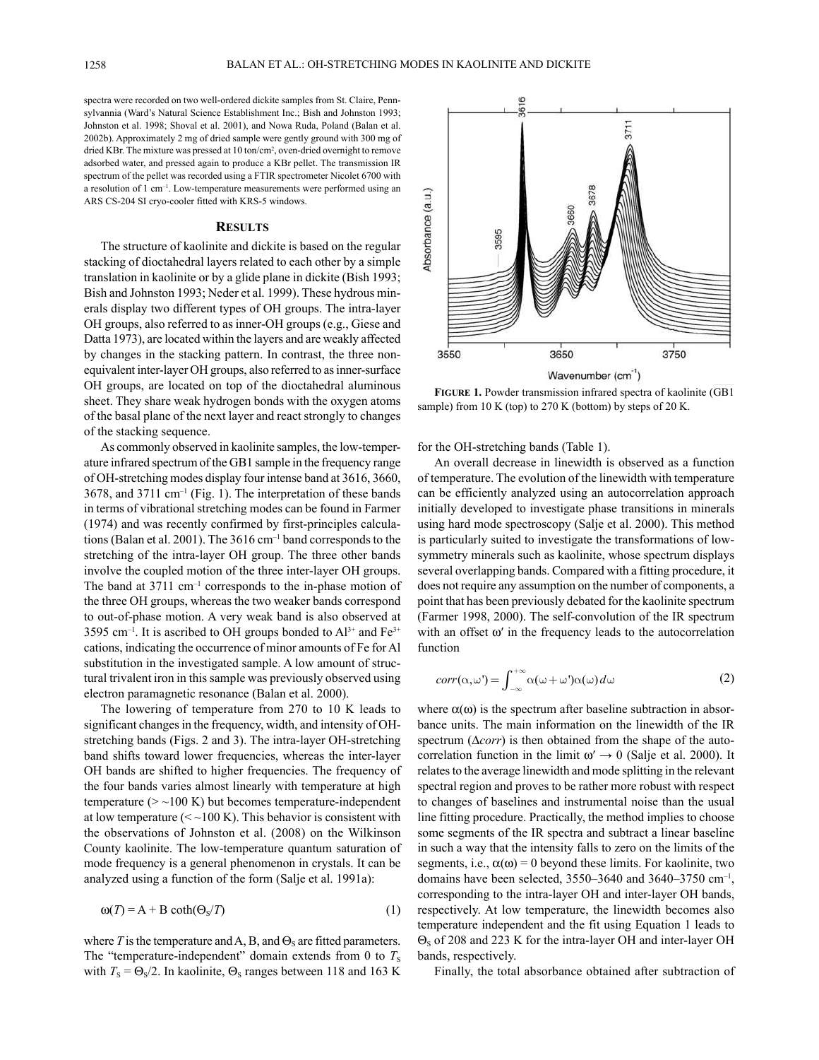spectra were recorded on two well-ordered dickite samples from St. Claire, Pennsylvannia (Ward's Natural Science Establishment Inc.; Bish and Johnston 1993; Johnston et al. 1998; Shoval et al. 2001), and Nowa Ruda, Poland (Balan et al. 2002b). Approximately 2 mg of dried sample were gently ground with 300 mg of dried KBr. The mixture was pressed at 10 ton/cm2 , oven-dried overnight to remove adsorbed water, and pressed again to produce a KBr pellet. The transmission IR spectrum of the pellet was recorded using a FTIR spectrometer Nicolet 6700 with a resolution of 1 cm–1. Low-temperature measurements were performed using an ARS CS-204 SI cryo-cooler fitted with KRS-5 windows.

### **RESULTS**

The structure of kaolinite and dickite is based on the regular stacking of dioctahedral layers related to each other by a simple translation in kaolinite or by a glide plane in dickite (Bish 1993; Bish and Johnston 1993; Neder et al. 1999). These hydrous minerals display two different types of OH groups. The intra-layer OH groups, also referred to as inner-OH groups (e.g., Giese and Datta 1973), are located within the layers and are weakly affected by changes in the stacking pattern. In contrast, the three nonequivalent inter-layer OH groups, also referred to as inner-surface OH groups, are located on top of the dioctahedral aluminous sheet. They share weak hydrogen bonds with the oxygen atoms of the basal plane of the next layer and react strongly to changes of the stacking sequence.

As commonly observed in kaolinite samples, the low-temperature infrared spectrum of the GB1 sample in the frequency range of OH-stretching modes display four intense band at 3616, 3660, 3678, and 3711 cm–1 (Fig. 1). The interpretation of these bands in terms of vibrational stretching modes can be found in Farmer (1974) and was recently confirmed by first-principles calculations (Balan et al. 2001). The 3616 cm–1 band corresponds to the stretching of the intra-layer OH group. The three other bands involve the coupled motion of the three inter-layer OH groups. The band at  $3711 \text{ cm}^{-1}$  corresponds to the in-phase motion of the three OH groups, whereas the two weaker bands correspond to out-of-phase motion. A very weak band is also observed at 3595 cm<sup>-1</sup>. It is ascribed to OH groups bonded to  $Al^{3+}$  and  $Fe^{3+}$ cations, indicating the occurrence of minor amounts of Fe for Al substitution in the investigated sample. A low amount of structural trivalent iron in this sample was previously observed using electron paramagnetic resonance (Balan et al. 2000).

The lowering of temperature from 270 to 10 K leads to significant changes in the frequency, width, and intensity of OHstretching bands (Figs. 2 and 3). The intra-layer OH-stretching band shifts toward lower frequencies, whereas the inter-layer OH bands are shifted to higher frequencies. The frequency of the four bands varies almost linearly with temperature at high temperature  $(>-100 \text{ K})$  but becomes temperature-independent at low temperature  $(<100 K)$ . This behavior is consistent with the observations of Johnston et al. (2008) on the Wilkinson County kaolinite. The low-temperature quantum saturation of mode frequency is a general phenomenon in crystals. It can be analyzed using a function of the form (Salje et al. 1991a):

$$
\omega(T) = A + B \coth(\Theta_s/T) \tag{1}
$$

where  $T$  is the temperature and A, B, and  $\Theta_s$  are fitted parameters. The "temperature-independent" domain extends from 0 to  $T<sub>S</sub>$ with  $T_s = \Theta_s/2$ . In kaolinite,  $\Theta_s$  ranges between 118 and 163 K



**FiGurE 1.** Powder transmission infrared spectra of kaolinite (GB1 sample) from 10 K (top) to 270 K (bottom) by steps of 20 K.

for the OH-stretching bands (Table 1).

An overall decrease in linewidth is observed as a function of temperature. The evolution of the linewidth with temperature can be efficiently analyzed using an autocorrelation approach initially developed to investigate phase transitions in minerals using hard mode spectroscopy (Salje et al. 2000). This method is particularly suited to investigate the transformations of lowsymmetry minerals such as kaolinite, whose spectrum displays several overlapping bands. Compared with a fitting procedure, it does not require any assumption on the number of components, a point that has been previously debated for the kaolinite spectrum (Farmer 1998, 2000). The self-convolution of the IR spectrum with an offset ω′ in the frequency leads to the autocorrelation function

$$
corr(\alpha,\omega') = \int_{-\infty}^{+\infty} \alpha(\omega + \omega')\alpha(\omega) d\omega \tag{2}
$$

where  $\alpha(\omega)$  is the spectrum after baseline subtraction in absorbance units. The main information on the linewidth of the IR spectrum (∆*corr*) is then obtained from the shape of the autocorrelation function in the limit  $\omega' \rightarrow 0$  (Salje et al. 2000). It relates to the average linewidth and mode splitting in the relevant spectral region and proves to be rather more robust with respect to changes of baselines and instrumental noise than the usual line fitting procedure. Practically, the method implies to choose some segments of the IR spectra and subtract a linear baseline in such a way that the intensity falls to zero on the limits of the segments, i.e.,  $\alpha(\omega) = 0$  beyond these limits. For kaolinite, two domains have been selected,  $3550-3640$  and  $3640-3750$  cm<sup>-1</sup>, corresponding to the intra-layer OH and inter-layer OH bands, respectively. At low temperature, the linewidth becomes also temperature independent and the fit using Equation 1 leads to  $\Theta$ <sub>S</sub> of 208 and 223 K for the intra-layer OH and inter-layer OH bands, respectively.

Finally, the total absorbance obtained after subtraction of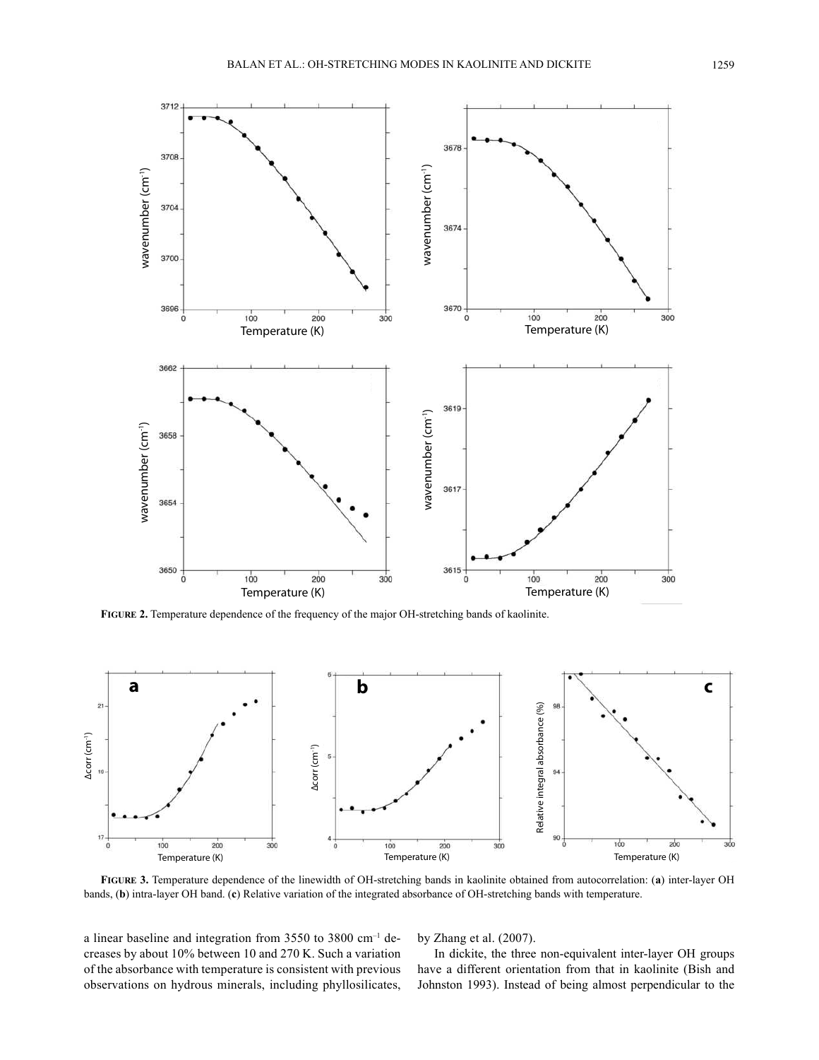

**FiGurE 2.** Temperature dependence of the frequency of the major OH-stretching bands of kaolinite.



**FiGurE 3.** Temperature dependence of the linewidth of OH-stretching bands in kaolinite obtained from autocorrelation: (**a**) inter-layer OH bands, (**b**) intra-layer OH band. (**c**) Relative variation of the integrated absorbance of OH-stretching bands with temperature.

a linear baseline and integration from 3550 to 3800 cm–1 decreases by about 10% between 10 and 270 K. Such a variation of the absorbance with temperature is consistent with previous observations on hydrous minerals, including phyllosilicates, by Zhang et al. (2007).

In dickite, the three non-equivalent inter-layer OH groups have a different orientation from that in kaolinite (Bish and Johnston 1993). Instead of being almost perpendicular to the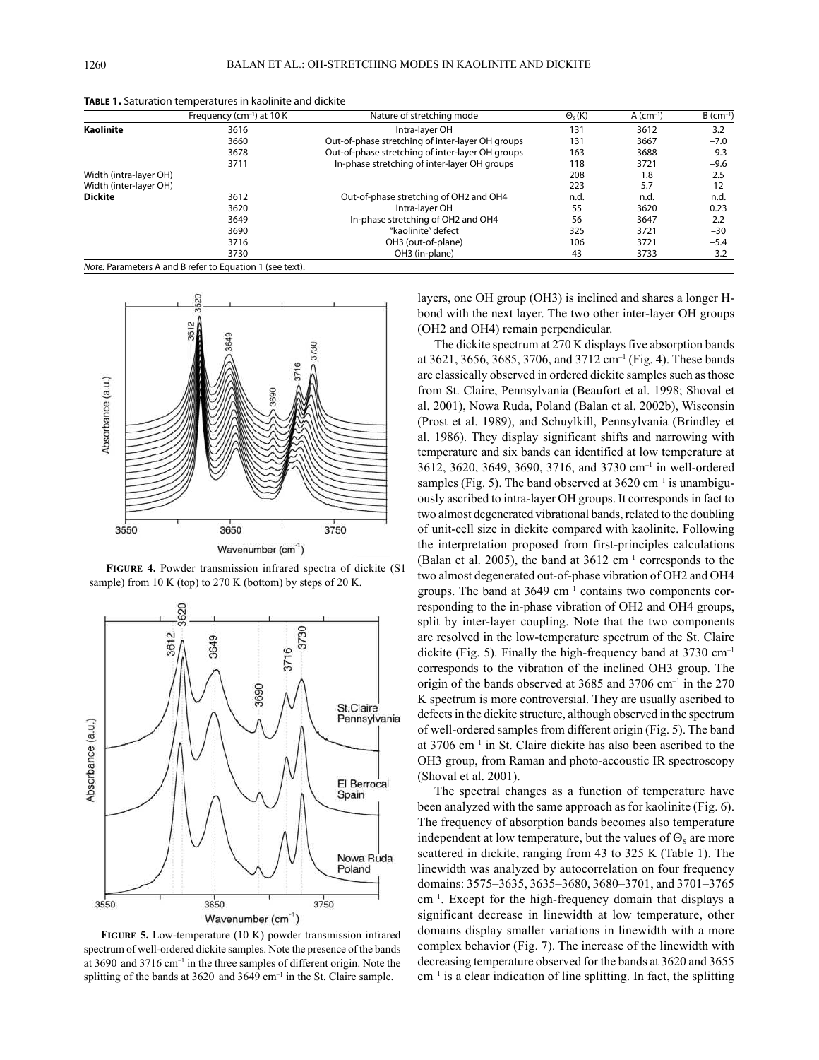|                        | Frequency (cm $^{-1}$ ) at 10 K | Nature of stretching mode                        | $\Theta_{\varsigma}$ (K) | $A (cm^{-1})$ | $B$ (cm <sup>-1</sup> ) |
|------------------------|---------------------------------|--------------------------------------------------|--------------------------|---------------|-------------------------|
| Kaolinite              | 3616                            | Intra-layer OH                                   | 131                      | 3612          | 3.2                     |
|                        | 3660                            | Out-of-phase stretching of inter-layer OH groups | 131                      | 3667          | $-7.0$                  |
|                        | 3678                            | Out-of-phase stretching of inter-layer OH groups | 163                      | 3688          | $-9.3$                  |
|                        | 3711                            | In-phase stretching of inter-layer OH groups     | 118                      | 3721          | -9.6                    |
| Width (intra-layer OH) |                                 |                                                  | 208                      | 1.8           | 2.5                     |
| Width (inter-layer OH) |                                 |                                                  | 223                      | 5.7           | 12                      |
| <b>Dickite</b>         | 3612                            | Out-of-phase stretching of OH2 and OH4           | n.d.                     | n.d.          | n.d.                    |
|                        | 3620                            | Intra-layer OH                                   | 55                       | 3620          | 0.23                    |
|                        | 3649                            | In-phase stretching of OH2 and OH4               | 56                       | 3647          | 2.2                     |
|                        | 3690                            | "kaolinite" defect                               | 325                      | 3721          | $-30$                   |
|                        | 3716                            | OH3 (out-of-plane)                               | 106                      | 3721          | $-5.4$                  |
|                        | 3730                            | OH3 (in-plane)                                   | 43                       | 3733          | $-3.2$                  |

**Table 1.** Saturation temperatures in kaolinite and dickite

*Note:* Parameters A and B refer to Equation 1 (see text).



**FiGurE 4.** Powder transmission infrared spectra of dickite (S1 sample) from 10 K (top) to 270 K (bottom) by steps of 20 K.



**FiGurE 5.** Low-temperature (10 K) powder transmission infrared spectrum of well-ordered dickite samples. Note the presence of the bands at 3690 and 3716 cm–1 in the three samples of different origin. Note the splitting of the bands at 3620 and 3649 cm<sup>-1</sup> in the St. Claire sample.

layers, one OH group (OH3) is inclined and shares a longer Hbond with the next layer. The two other inter-layer OH groups (OH2 and OH4) remain perpendicular.

The dickite spectrum at 270 K displays five absorption bands at 3621, 3656, 3685, 3706, and 3712 cm–1 (Fig. 4). These bands are classically observed in ordered dickite samples such as those from St. Claire, Pennsylvania (Beaufort et al. 1998; Shoval et al. 2001), Nowa Ruda, Poland (Balan et al. 2002b), Wisconsin (Prost et al. 1989), and Schuylkill, Pennsylvania (Brindley et al. 1986). They display significant shifts and narrowing with temperature and six bands can identified at low temperature at 3612, 3620, 3649, 3690, 3716, and 3730 cm–1 in well-ordered samples (Fig. 5). The band observed at  $3620 \text{ cm}^{-1}$  is unambiguously ascribed to intra-layer OH groups. It corresponds in fact to two almost degenerated vibrational bands, related to the doubling of unit-cell size in dickite compared with kaolinite. Following the interpretation proposed from first-principles calculations (Balan et al. 2005), the band at 3612 cm–1 corresponds to the two almost degenerated out-of-phase vibration of OH2 and OH4 groups. The band at 3649 cm–1 contains two components corresponding to the in-phase vibration of OH2 and OH4 groups, split by inter-layer coupling. Note that the two components are resolved in the low-temperature spectrum of the St. Claire dickite (Fig. 5). Finally the high-frequency band at  $3730 \text{ cm}^{-1}$ corresponds to the vibration of the inclined OH3 group. The origin of the bands observed at 3685 and 3706 cm–1 in the 270 K spectrum is more controversial. They are usually ascribed to defects in the dickite structure, although observed in the spectrum of well-ordered samples from different origin (Fig. 5). The band at 3706 cm–1 in St. Claire dickite has also been ascribed to the OH3 group, from Raman and photo-accoustic IR spectroscopy (Shoval et al. 2001).

The spectral changes as a function of temperature have been analyzed with the same approach as for kaolinite (Fig. 6). The frequency of absorption bands becomes also temperature independent at low temperature, but the values of  $\Theta_s$  are more scattered in dickite, ranging from 43 to 325 K (Table 1). The linewidth was analyzed by autocorrelation on four frequency domains: 3575–3635, 3635–3680, 3680–3701, and 3701–3765 cm–1. Except for the high-frequency domain that displays a significant decrease in linewidth at low temperature, other domains display smaller variations in linewidth with a more complex behavior (Fig. 7). The increase of the linewidth with decreasing temperature observed for the bands at 3620 and 3655  $cm<sup>-1</sup>$  is a clear indication of line splitting. In fact, the splitting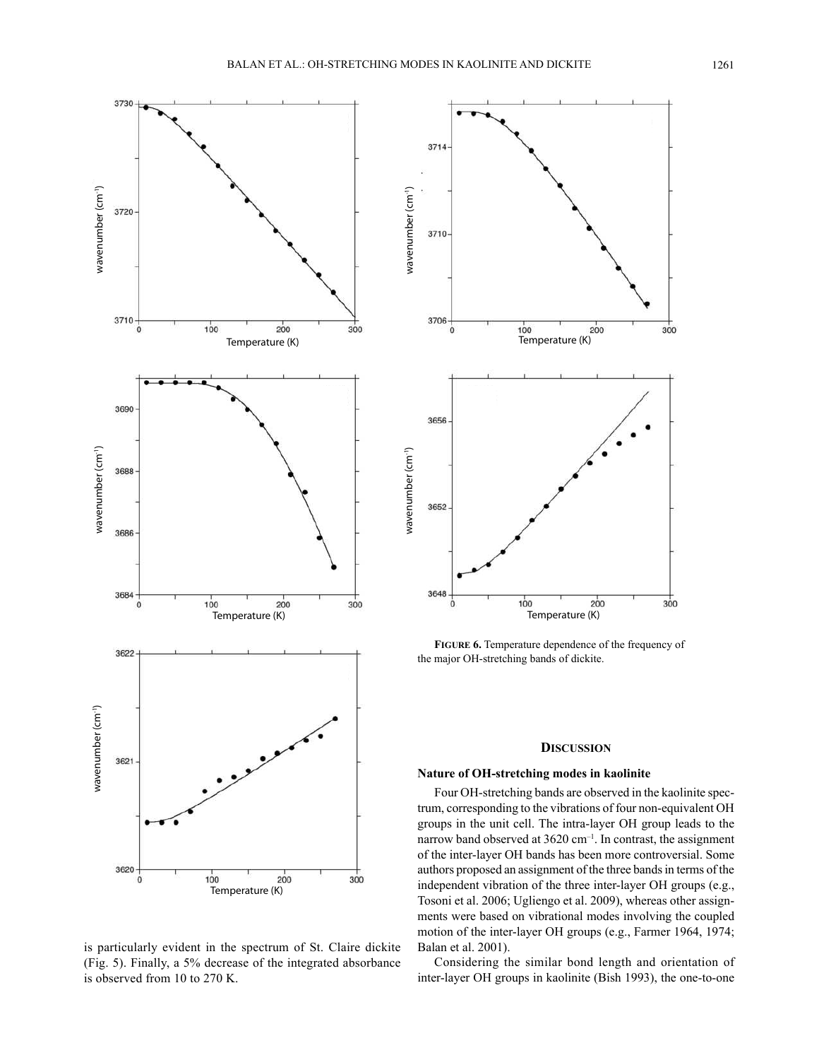





**FiGurE 6.** Temperature dependence of the frequency of the major OH-stretching bands of dickite.

# **DiScuSSion**

# **Nature of OH-stretching modes in kaolinite**

Four OH-stretching bands are observed in the kaolinite spectrum, corresponding to the vibrations of four non-equivalent OH groups in the unit cell. The intra-layer OH group leads to the narrow band observed at 3620 cm–1. In contrast, the assignment of the inter-layer OH bands has been more controversial. Some authors proposed an assignment of the three bands in terms of the independent vibration of the three inter-layer OH groups (e.g., Tosoni et al. 2006; Ugliengo et al. 2009), whereas other assignments were based on vibrational modes involving the coupled motion of the inter-layer OH groups (e.g., Farmer 1964, 1974; Balan et al. 2001).

Considering the similar bond length and orientation of inter-layer OH groups in kaolinite (Bish 1993), the one-to-one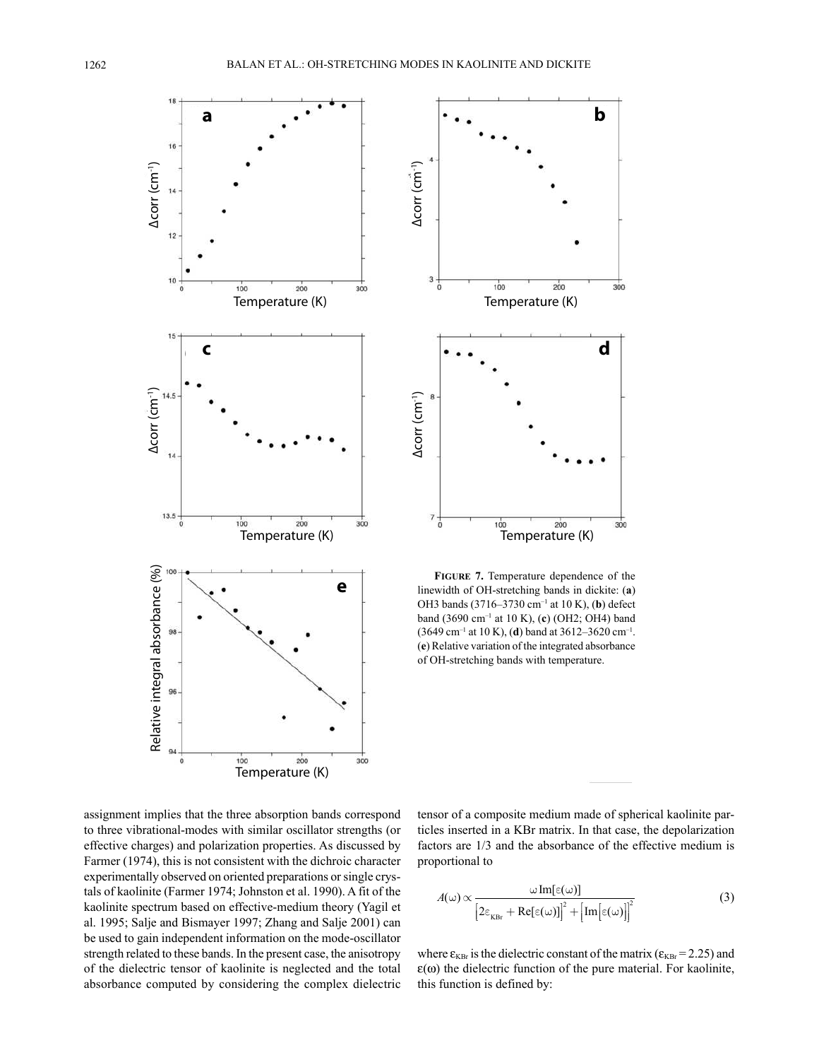



**FiGurE 7.** Temperature dependence of the linewidth of OH-stretching bands in dickite: (**a**) OH3 bands (3716–3730 cm–1 at 10 K), (**b**) defect band (3690 cm–1 at 10 K), (**c**) (OH2; OH4) band (3649 cm–1 at 10 K), (**d**) band at 3612–3620 cm–1. (**e**) Relative variation of the integrated absorbance of OH-stretching bands with temperature.

assignment implies that the three absorption bands correspond to three vibrational-modes with similar oscillator strengths (or effective charges) and polarization properties. As discussed by Farmer (1974), this is not consistent with the dichroic character experimentally observed on oriented preparations or single crystals of kaolinite (Farmer 1974; Johnston et al. 1990). A fit of the kaolinite spectrum based on effective-medium theory (Yagil et al. 1995; Salje and Bismayer 1997; Zhang and Salje 2001) can be used to gain independent information on the mode-oscillator strength related to these bands. In the present case, the anisotropy of the dielectric tensor of kaolinite is neglected and the total absorbance computed by considering the complex dielectric tensor of a composite medium made of spherical kaolinite particles inserted in a KBr matrix. In that case, the depolarization factors are 1/3 and the absorbance of the effective medium is proportional to

$$
A(\omega) \propto \frac{\omega \operatorname{Im}[\varepsilon(\omega)]}{\left[2\varepsilon_{\text{KBr}} + \operatorname{Re}[\varepsilon(\omega)]\right]^2 + \left[\operatorname{Im}[\varepsilon(\omega)]\right]^2}
$$
(3)

where  $\epsilon_{KBr}$  is the dielectric constant of the matrix ( $\epsilon_{KBr}$  = 2.25) and  $\varepsilon(\omega)$  the dielectric function of the pure material. For kaolinite, this function is defined by: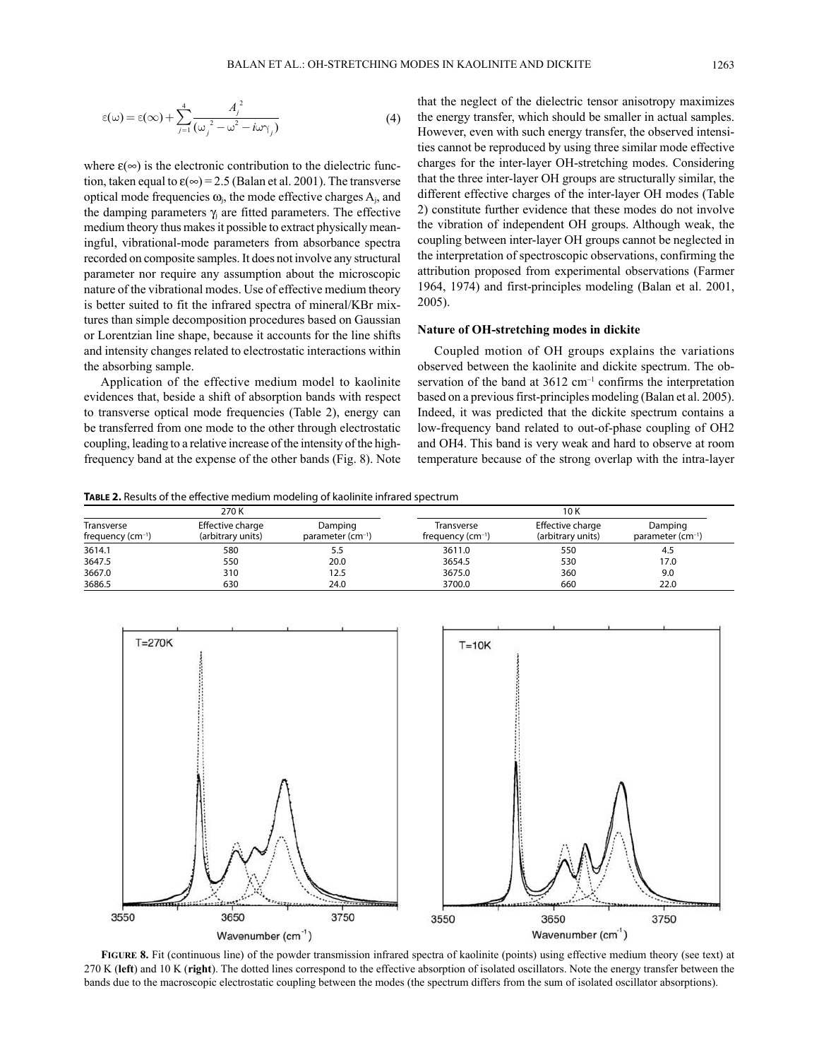BALAN ET AL.: OH-STRETCHING MODES IN KAOLINITE AND DICKITE 1263

$$
\epsilon(\omega) = \epsilon(\infty) + \sum_{j=1}^{4} \frac{A_j^2}{(\omega_j^2 - \omega^2 - i\omega\gamma_j)}
$$
(4)

where  $\varepsilon(\infty)$  is the electronic contribution to the dielectric function, taken equal to  $\varepsilon(\infty) = 2.5$  (Balan et al. 2001). The transverse optical mode frequencies  $\omega_i$ , the mode effective charges  $A_i$ , and the damping parameters  $\gamma_i$  are fitted parameters. The effective medium theory thus makes it possible to extract physically meaningful, vibrational-mode parameters from absorbance spectra recorded on composite samples. It does not involve any structural parameter nor require any assumption about the microscopic nature of the vibrational modes. Use of effective medium theory is better suited to fit the infrared spectra of mineral/KBr mixtures than simple decomposition procedures based on Gaussian or Lorentzian line shape, because it accounts for the line shifts and intensity changes related to electrostatic interactions within the absorbing sample.

Application of the effective medium model to kaolinite evidences that, beside a shift of absorption bands with respect to transverse optical mode frequencies (Table 2), energy can be transferred from one mode to the other through electrostatic coupling, leading to a relative increase of the intensity of the highfrequency band at the expense of the other bands (Fig. 8). Note that the neglect of the dielectric tensor anisotropy maximizes the energy transfer, which should be smaller in actual samples. However, even with such energy transfer, the observed intensities cannot be reproduced by using three similar mode effective charges for the inter-layer OH-stretching modes. Considering that the three inter-layer OH groups are structurally similar, the different effective charges of the inter-layer OH modes (Table 2) constitute further evidence that these modes do not involve the vibration of independent OH groups. Although weak, the coupling between inter-layer OH groups cannot be neglected in the interpretation of spectroscopic observations, confirming the attribution proposed from experimental observations (Farmer 1964, 1974) and first-principles modeling (Balan et al. 2001, 2005).

## **Nature of OH-stretching modes in dickite**

Coupled motion of OH groups explains the variations observed between the kaolinite and dickite spectrum. The observation of the band at 3612 cm<sup>-1</sup> confirms the interpretation based on a previous first-principles modeling (Balan et al. 2005). Indeed, it was predicted that the dickite spectrum contains a low-frequency band related to out-of-phase coupling of OH2 and OH4. This band is very weak and hard to observe at room temperature because of the strong overlap with the intra-layer

**Table 2.** Results of the effective medium modeling of kaolinite infrared spectrum

| 270 K                            |                                       |                                  |                                  | 10K                                   |                                  |  |
|----------------------------------|---------------------------------------|----------------------------------|----------------------------------|---------------------------------------|----------------------------------|--|
| Transverse<br>frequency $(cm-1)$ | Effective charge<br>(arbitrary units) | Damping<br>parameter $(cm^{-1})$ | Transverse<br>frequency $(cm-1)$ | Effective charge<br>(arbitrary units) | Damping<br>parameter $(cm^{-1})$ |  |
| 3614.1                           | 580                                   | 5.5                              | 3611.0                           | 550                                   | 4.5                              |  |
| 3647.5                           | 550                                   | 20.0                             | 3654.5                           | 530                                   | 17.0                             |  |
| 3667.0                           | 310                                   | 12.5                             | 3675.0                           | 360                                   | 9.0                              |  |
| 3686.5                           | 630                                   | 24.0                             | 3700.0                           | 660                                   | 22.0                             |  |



**FiGurE 8.** Fit (continuous line) of the powder transmission infrared spectra of kaolinite (points) using effective medium theory (see text) at 270 K (**left**) and 10 K (**right**). The dotted lines correspond to the effective absorption of isolated oscillators. Note the energy transfer between the bands due to the macroscopic electrostatic coupling between the modes (the spectrum differs from the sum of isolated oscillator absorptions).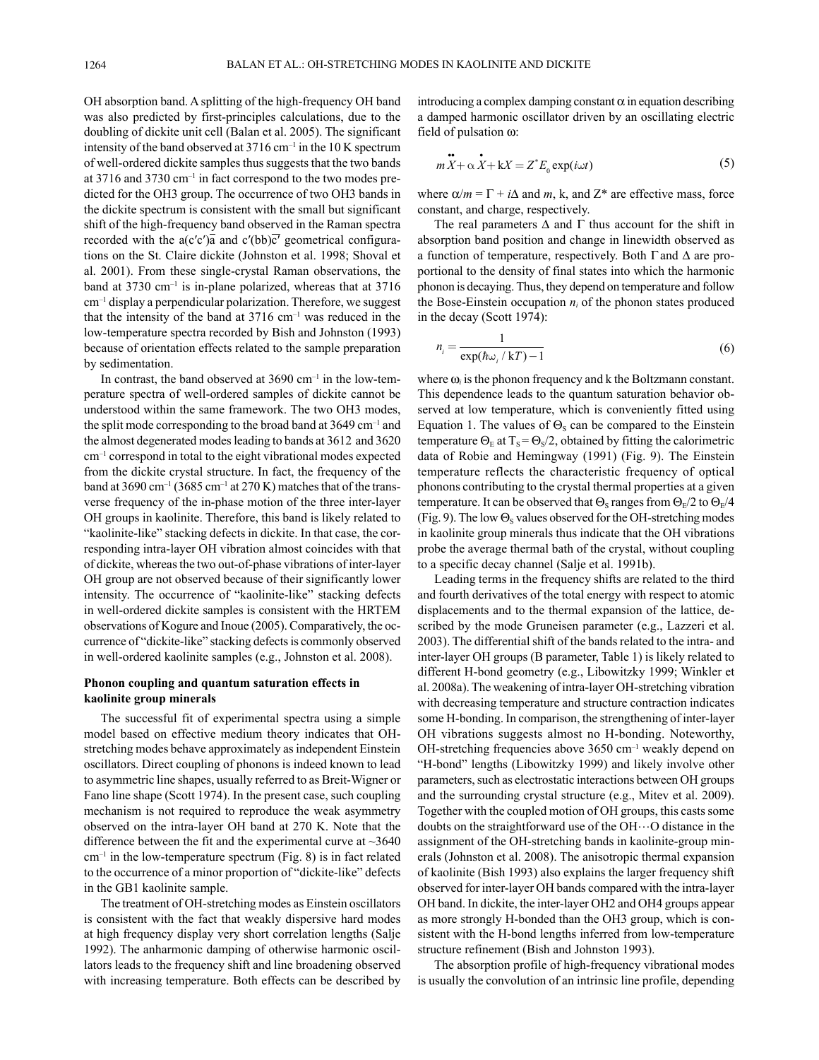OH absorption band. A splitting of the high-frequency OH band was also predicted by first-principles calculations, due to the doubling of dickite unit cell (Balan et al. 2005). The significant intensity of the band observed at  $3716 \text{ cm}^{-1}$  in the 10 K spectrum of well-ordered dickite samples thus suggests that the two bands at 3716 and 3730 cm–1 in fact correspond to the two modes predicted for the OH3 group. The occurrence of two OH3 bands in the dickite spectrum is consistent with the small but significant shift of the high-frequency band observed in the Raman spectra recorded with the a(c'c') $\overline{a}$  and c'(bb) $\overline{c}$ ' geometrical configurations on the St. Claire dickite (Johnston et al. 1998; Shoval et al. 2001). From these single-crystal Raman observations, the band at  $3730 \text{ cm}^{-1}$  is in-plane polarized, whereas that at  $3716$  $cm<sup>-1</sup>$  display a perpendicular polarization. Therefore, we suggest that the intensity of the band at  $3716 \text{ cm}^{-1}$  was reduced in the low-temperature spectra recorded by Bish and Johnston (1993) because of orientation effects related to the sample preparation by sedimentation.

In contrast, the band observed at  $3690 \text{ cm}^{-1}$  in the low-temperature spectra of well-ordered samples of dickite cannot be understood within the same framework. The two OH3 modes, the split mode corresponding to the broad band at 3649 cm<sup>-1</sup> and the almost degenerated modes leading to bands at 3612 and 3620 cm–1 correspond in total to the eight vibrational modes expected from the dickite crystal structure. In fact, the frequency of the band at 3690 cm<sup>-1</sup> (3685 cm<sup>-1</sup> at 270 K) matches that of the transverse frequency of the in-phase motion of the three inter-layer OH groups in kaolinite. Therefore, this band is likely related to "kaolinite-like" stacking defects in dickite. In that case, the corresponding intra-layer OH vibration almost coincides with that of dickite, whereas the two out-of-phase vibrations of inter-layer OH group are not observed because of their significantly lower intensity. The occurrence of "kaolinite-like" stacking defects in well-ordered dickite samples is consistent with the HRTEM observations of Kogure and Inoue (2005). Comparatively, the occurrence of "dickite-like" stacking defects is commonly observed in well-ordered kaolinite samples (e.g., Johnston et al. 2008).

# **Phonon coupling and quantum saturation effects in kaolinite group minerals**

The successful fit of experimental spectra using a simple model based on effective medium theory indicates that OHstretching modes behave approximately as independent Einstein oscillators. Direct coupling of phonons is indeed known to lead to asymmetric line shapes, usually referred to as Breit-Wigner or Fano line shape (Scott 1974). In the present case, such coupling mechanism is not required to reproduce the weak asymmetry observed on the intra-layer OH band at 270 K. Note that the difference between the fit and the experimental curve at  $\sim$ 3640  $cm^{-1}$  in the low-temperature spectrum (Fig. 8) is in fact related to the occurrence of a minor proportion of "dickite-like" defects in the GB1 kaolinite sample.

The treatment of OH-stretching modes as Einstein oscillators is consistent with the fact that weakly dispersive hard modes at high frequency display very short correlation lengths (Salje 1992). The anharmonic damping of otherwise harmonic oscillators leads to the frequency shift and line broadening observed with increasing temperature. Both effects can be described by introducing a complex damping constant  $\alpha$  in equation describing a damped harmonic oscillator driven by an oscillating electric field of pulsation ω:

$$
\mathbf{m}\ddot{X} + \alpha \dot{X} + kX = Z^* E_0 \exp(i\omega t) \tag{5}
$$

where  $\alpha/m = \Gamma + i\Delta$  and *m*, k, and Z<sup>\*</sup> are effective mass, force constant, and charge, respectively.

The real parameters  $\Delta$  and  $\Gamma$  thus account for the shift in absorption band position and change in linewidth observed as a function of temperature, respectively. Both Γ and ∆ are proportional to the density of final states into which the harmonic phonon is decaying. Thus, they depend on temperature and follow the Bose-Einstein occupation  $n_i$  of the phonon states produced in the decay (Scott 1974):

$$
n_i = \frac{1}{\exp(\hbar\omega_i/kT) - 1} \tag{6}
$$

where  $\omega_i$  is the phonon frequency and k the Boltzmann constant. This dependence leads to the quantum saturation behavior observed at low temperature, which is conveniently fitted using Equation 1. The values of  $\Theta_s$  can be compared to the Einstein temperature  $\Theta_{\rm E}$  at T<sub>s</sub> =  $\Theta_{\rm S}/2$ , obtained by fitting the calorimetric data of Robie and Hemingway (1991) (Fig. 9). The Einstein temperature reflects the characteristic frequency of optical phonons contributing to the crystal thermal properties at a given temperature. It can be observed that  $\Theta_s$  ranges from  $\Theta_{\rm E}/2$  to  $\Theta_{\rm E}/4$ (Fig. 9). The low  $\Theta_s$  values observed for the OH-stretching modes in kaolinite group minerals thus indicate that the OH vibrations probe the average thermal bath of the crystal, without coupling to a specific decay channel (Salje et al. 1991b).

Leading terms in the frequency shifts are related to the third and fourth derivatives of the total energy with respect to atomic displacements and to the thermal expansion of the lattice, described by the mode Gruneisen parameter (e.g., Lazzeri et al. 2003). The differential shift of the bands related to the intra- and inter-layer OH groups (B parameter, Table 1) is likely related to different H-bond geometry (e.g., Libowitzky 1999; Winkler et al. 2008a). The weakening of intra-layer OH-stretching vibration with decreasing temperature and structure contraction indicates some H-bonding. In comparison, the strengthening of inter-layer OH vibrations suggests almost no H-bonding. Noteworthy, OH-stretching frequencies above 3650 cm–1 weakly depend on "H-bond" lengths (Libowitzky 1999) and likely involve other parameters, such as electrostatic interactions between OH groups and the surrounding crystal structure (e.g., Mitev et al. 2009). Together with the coupled motion of OH groups, this casts some doubts on the straightforward use of the OH…O distance in the assignment of the OH-stretching bands in kaolinite-group minerals (Johnston et al. 2008). The anisotropic thermal expansion of kaolinite (Bish 1993) also explains the larger frequency shift observed for inter-layer OH bands compared with the intra-layer OH band. In dickite, the inter-layer OH2 and OH4 groups appear as more strongly H-bonded than the OH3 group, which is consistent with the H-bond lengths inferred from low-temperature structure refinement (Bish and Johnston 1993).

The absorption profile of high-frequency vibrational modes is usually the convolution of an intrinsic line profile, depending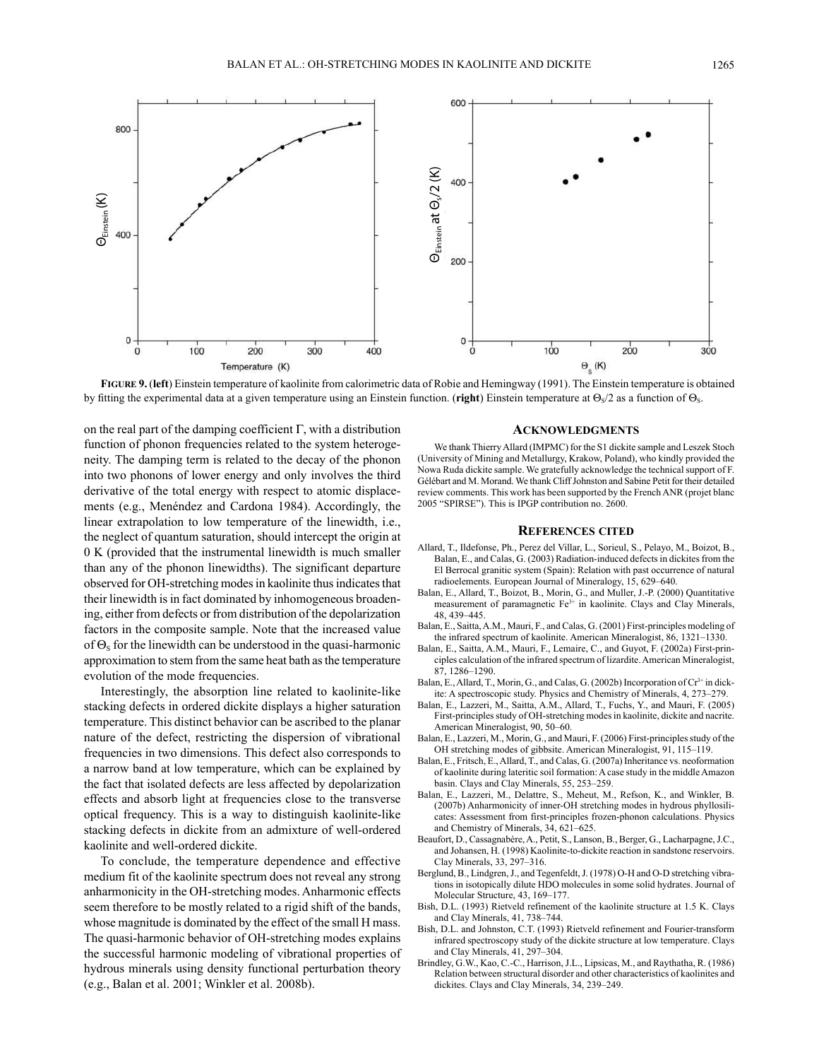

**FiGurE 9.** (**left**) Einstein temperature of kaolinite from calorimetric data of Robie and Hemingway (1991). The Einstein temperature is obtained by fitting the experimental data at a given temperature using an Einstein function. (**right**) Einstein temperature at Θ<sub>S</sub>/2 as a function of Θ<sub>S</sub>.

on the real part of the damping coefficient  $\Gamma$ , with a distribution function of phonon frequencies related to the system heterogeneity. The damping term is related to the decay of the phonon into two phonons of lower energy and only involves the third derivative of the total energy with respect to atomic displacements (e.g., Menéndez and Cardona 1984). Accordingly, the linear extrapolation to low temperature of the linewidth, i.e., the neglect of quantum saturation, should intercept the origin at 0 K (provided that the instrumental linewidth is much smaller than any of the phonon linewidths). The significant departure observed for OH-stretching modes in kaolinite thus indicates that their linewidth is in fact dominated by inhomogeneous broadening, either from defects or from distribution of the depolarization factors in the composite sample. Note that the increased value of  $\Theta_s$  for the linewidth can be understood in the quasi-harmonic approximation to stem from the same heat bath as the temperature evolution of the mode frequencies.

Interestingly, the absorption line related to kaolinite-like stacking defects in ordered dickite displays a higher saturation temperature. This distinct behavior can be ascribed to the planar nature of the defect, restricting the dispersion of vibrational frequencies in two dimensions. This defect also corresponds to a narrow band at low temperature, which can be explained by the fact that isolated defects are less affected by depolarization effects and absorb light at frequencies close to the transverse optical frequency. This is a way to distinguish kaolinite-like stacking defects in dickite from an admixture of well-ordered kaolinite and well-ordered dickite.

To conclude, the temperature dependence and effective medium fit of the kaolinite spectrum does not reveal any strong anharmonicity in the OH-stretching modes. Anharmonic effects seem therefore to be mostly related to a rigid shift of the bands, whose magnitude is dominated by the effect of the small H mass. The quasi-harmonic behavior of OH-stretching modes explains the successful harmonic modeling of vibrational properties of hydrous minerals using density functional perturbation theory (e.g., Balan et al. 2001; Winkler et al. 2008b).

#### **acknowlEDGmEntS**

We thank Thierry Allard (IMPMC) for the S1 dickite sample and Leszek Stoch (University of Mining and Metallurgy, Krakow, Poland), who kindly provided the Nowa Ruda dickite sample. We gratefully acknowledge the technical support of F. Gélébart and M. Morand. We thank Cliff Johnston and Sabine Petit for their detailed review comments. This work has been supported by the French ANR (projet blanc 2005 "SPIRSE"). This is IPGP contribution no. 2600.

#### **rEFErEncES citED**

- Allard, T., Ildefonse, Ph., Perez del Villar, L., Sorieul, S., Pelayo, M., Boizot, B., Balan, E., and Calas, G. (2003) Radiation-induced defects in dickites from the El Berrocal granitic system (Spain): Relation with past occurrence of natural radioelements. European Journal of Mineralogy, 15, 629–640.
- Balan, E., Allard, T., Boizot, B., Morin, G., and Muller, J.-P. (2000) Quantitative measurement of paramagnetic Fe<sup>3+</sup> in kaolinite. Clays and Clay Minerals, 48, 439–445.
- Balan, E., Saitta, A.M., Mauri, F., and Calas, G. (2001) First-principles modeling of the infrared spectrum of kaolinite. American Mineralogist, 86, 1321–1330.
- Balan, E., Saitta, A.M., Mauri, F., Lemaire, C., and Guyot, F. (2002a) First-principles calculation of the infrared spectrum of lizardite. American Mineralogist, 87, 1286–1290.
- Balan, E., Allard, T., Morin, G., and Calas, G. (2002b) Incorporation of  $Cr<sup>3+</sup>$  in dickite: A spectroscopic study. Physics and Chemistry of Minerals, 4, 273–279.
- Balan, E., Lazzeri, M., Saitta, A.M., Allard, T., Fuchs, Y., and Mauri, F. (2005) First-principles study of OH-stretching modes in kaolinite, dickite and nacrite. American Mineralogist, 90, 50–60.
- Balan, E., Lazzeri, M., Morin, G., and Mauri, F. (2006) First-principles study of the OH stretching modes of gibbsite. American Mineralogist, 91, 115–119.
- Balan, E., Fritsch, E., Allard, T., and Calas, G. (2007a) Inheritance vs. neoformation of kaolinite during lateritic soil formation: A case study in the middle Amazon basin. Clays and Clay Minerals, 55, 253–259.
- Balan, E., Lazzeri, M., Delattre, S., Meheut, M., Refson, K., and Winkler, B. (2007b) Anharmonicity of inner-OH stretching modes in hydrous phyllosilicates: Assessment from first-principles frozen-phonon calculations. Physics and Chemistry of Minerals, 34, 621–625.
- Beaufort, D., Cassagnabère, A., Petit, S., Lanson, B., Berger, G., Lacharpagne, J.C., and Johansen, H. (1998) Kaolinite-to-dickite reaction in sandstone reservoirs. Clay Minerals, 33, 297–316.
- Berglund, B., Lindgren, J., and Tegenfeldt, J. (1978) O-H and O-D stretching vibrations in isotopically dilute HDO molecules in some solid hydrates. Journal of Molecular Structure, 43, 169–177.
- Bish, D.L. (1993) Rietveld refinement of the kaolinite structure at 1.5 K. Clays and Clay Minerals, 41, 738–744.
- Bish, D.L. and Johnston, C.T. (1993) Rietveld refinement and Fourier-transform infrared spectroscopy study of the dickite structure at low temperature. Clays and Clay Minerals, 41, 297–304.
- Brindley, G.W., Kao, C.-C., Harrison, J.L., Lipsicas, M., and Raythatha, R. (1986) Relation between structural disorder and other characteristics of kaolinites and dickites. Clays and Clay Minerals, 34, 239–249.